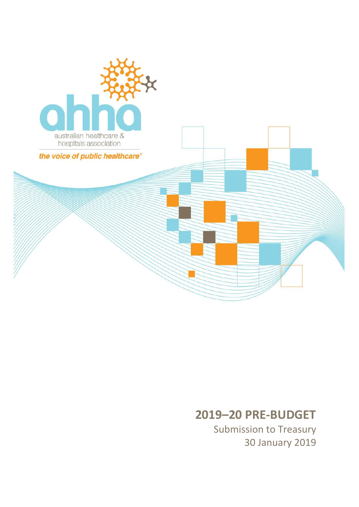

# **–20 PRE -BUDGET**

Submission to Treasury January 2019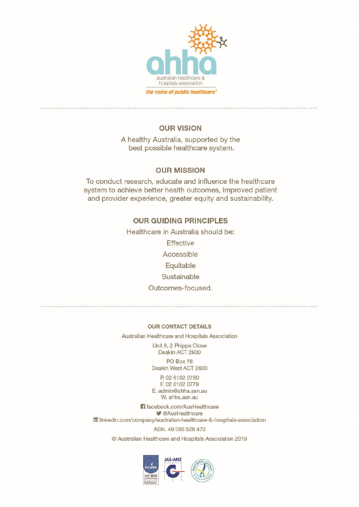

### **OUR VISION**

A healthy Australia, supported by the best possible healthcare system.

#### **OUR MISSION**

To conduct research, educate and influence the healthcare system to achieve better health outcomes, improved patient and provider experience, greater equity and sustainability.

#### **OUR GUIDING PRINCIPLES**

Healthcare in Australia should be: Effective Accessible

Equitable Sustainable

### Outcomes-focused.

**OUR CONTACT DETAILS** 

Australian Healthcare and Hospitals Association

Unit 8, 2 Phipps Close Deakin ACT 2600

PO Box 78 Deakin West ACT 2600

P. 02 6162 0780 F. 02 6162 0779 E. admin@ahha.asn.au W. ahha.asn.au

If facebook.com/AusHealthcare **V** @AusHealthcare ful linkedin.com/company/australian-healthcare-&-hospitals-association ABN. 49 008 528 470

© Australian Healthcare and Hospitals Association 2019

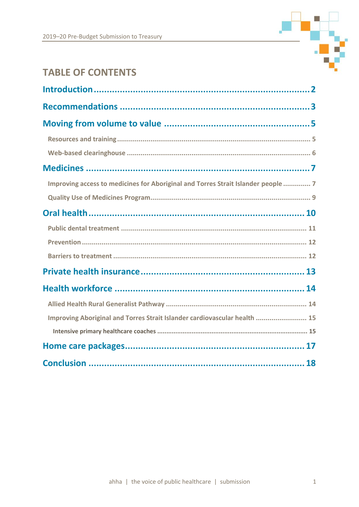

# **TABLE OF CONTENTS**

| Improving access to medicines for Aboriginal and Torres Strait Islander people  7 |
|-----------------------------------------------------------------------------------|
|                                                                                   |
|                                                                                   |
|                                                                                   |
|                                                                                   |
|                                                                                   |
|                                                                                   |
|                                                                                   |
|                                                                                   |
| Improving Aboriginal and Torres Strait Islander cardiovascular health  15         |
|                                                                                   |
|                                                                                   |
|                                                                                   |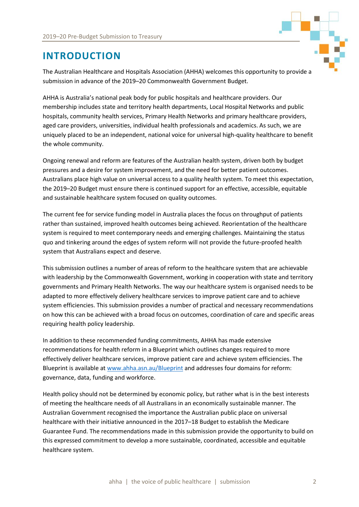

# <span id="page-3-0"></span>**INTRODUCTION**

The Australian Healthcare and Hospitals Association (AHHA) welcomes this opportunity to provide a submission in advance of the 2019–20 Commonwealth Government Budget.

AHHA is Australia's national peak body for public hospitals and healthcare providers. Our membership includes state and territory health departments, Local Hospital Networks and public hospitals, community health services, Primary Health Networks and primary healthcare providers, aged care providers, universities, individual health professionals and academics. As such, we are uniquely placed to be an independent, national voice for universal high-quality healthcare to benefit the whole community.

Ongoing renewal and reform are features of the Australian health system, driven both by budget pressures and a desire for system improvement, and the need for better patient outcomes. Australians place high value on universal access to a quality health system. To meet this expectation, the 2019–20 Budget must ensure there is continued support for an effective, accessible, equitable and sustainable healthcare system focused on quality outcomes.

The current fee for service funding model in Australia places the focus on throughput of patients rather than sustained, improved health outcomes being achieved. Reorientation of the healthcare system is required to meet contemporary needs and emerging challenges. Maintaining the status quo and tinkering around the edges of system reform will not provide the future-proofed health system that Australians expect and deserve.

This submission outlines a number of areas of reform to the healthcare system that are achievable with leadership by the Commonwealth Government, working in cooperation with state and territory governments and Primary Health Networks. The way our healthcare system is organised needs to be adapted to more effectively delivery healthcare services to improve patient care and to achieve system efficiencies. This submission provides a number of practical and necessary recommendations on how this can be achieved with a broad focus on outcomes, coordination of care and specific areas requiring health policy leadership.

In addition to these recommended funding commitments, AHHA has made extensive recommendations for health reform in a Blueprint which outlines changes required to more effectively deliver healthcare services, improve patient care and achieve system efficiencies. The Blueprint is available a[t www.ahha.asn.au/Blueprint](http://www.ahha.asn.au/Blueprint) and addresses four domains for reform: governance, data, funding and workforce.

Health policy should not be determined by economic policy, but rather what is in the best interests of meeting the healthcare needs of all Australians in an economically sustainable manner. The Australian Government recognised the importance the Australian public place on universal healthcare with their initiative announced in the 2017–18 Budget to establish the Medicare Guarantee Fund. The recommendations made in this submission provide the opportunity to build on this expressed commitment to develop a more sustainable, coordinated, accessible and equitable healthcare system.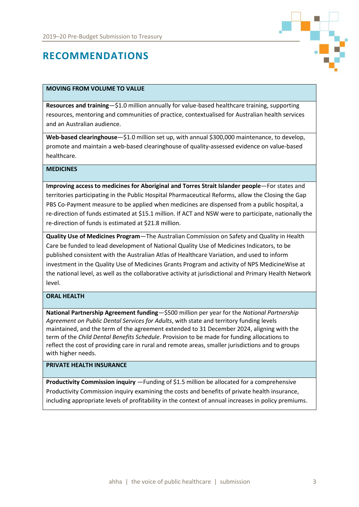

# <span id="page-4-0"></span>**RECOMMENDATIONS**

#### **MOVING FROM VOLUME TO VALUE**

**Resources and training**—\$1.0 million annually for value-based healthcare training, supporting resources, mentoring and communities of practice, contextualised for Australian health services and an Australian audience.

**Web-based clearinghouse**—\$1.0 million set up, with annual \$300,000 maintenance, to develop, promote and maintain a web-based clearinghouse of quality-assessed evidence on value-based healthcare.

#### **MEDICINES**

**Improving access to medicines for Aboriginal and Torres Strait Islander people**—For states and territories participating in the Public Hospital Pharmaceutical Reforms, allow the Closing the Gap PBS Co-Payment measure to be applied when medicines are dispensed from a public hospital, a re-direction of funds estimated at \$15.1 million. If ACT and NSW were to participate, nationally the re-direction of funds is estimated at \$21.8 million.

**Quality Use of Medicines Program**—The Australian Commission on Safety and Quality in Health Care be funded to lead development of National Quality Use of Medicines Indicators, to be published consistent with the Australian Atlas of Healthcare Variation, and used to inform investment in the Quality Use of Medicines Grants Program and activity of NPS MedicineWise at the national level, as well as the collaborative activity at jurisdictional and Primary Health Network level.

#### **ORAL HEALTH**

**National Partnership Agreement funding**—\$500 million per year for the *National Partnership Agreement on Public Dental Services for Adults*, with state and territory funding levels maintained, and the term of the agreement extended to 31 December 2024, aligning with the term of the *Child Dental Benefits Schedule*. Provision to be made for funding allocations to reflect the cost of providing care in rural and remote areas, smaller jurisdictions and to groups with higher needs.

#### **PRIVATE HEALTH INSURANCE**

**Productivity Commission inquiry** —Funding of \$1.5 million be allocated for a comprehensive Productivity Commission inquiry examining the costs and benefits of private health insurance, including appropriate levels of profitability in the context of annual increases in policy premiums.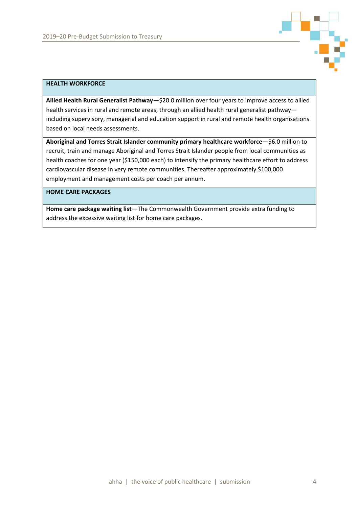

#### **HEALTH WORKFORCE**

**Allied Health Rural Generalist Pathway**—\$20.0 million over four years to improve access to allied health services in rural and remote areas, through an allied health rural generalist pathway including supervisory, managerial and education support in rural and remote health organisations based on local needs assessments.

**Aboriginal and Torres Strait Islander community primary healthcare workforce**—\$6.0 million to recruit, train and manage Aboriginal and Torres Strait Islander people from local communities as health coaches for one year (\$150,000 each) to intensify the primary healthcare effort to address cardiovascular disease in very remote communities. Thereafter approximately \$100,000 employment and management costs per coach per annum.

#### **HOME CARE PACKAGES**

**Home care package waiting list**—The Commonwealth Government provide extra funding to address the excessive waiting list for home care packages.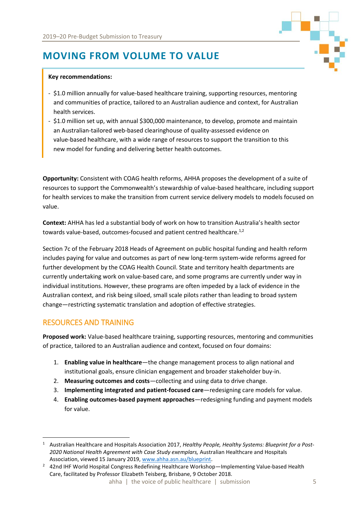# <span id="page-6-0"></span>**MOVING FROM VOLUME TO VALUE**

#### **Key recommendations:**

- \$1.0 million annually for value-based healthcare training, supporting resources, mentoring and communities of practice, tailored to an Australian audience and context, for Australian health services.
- \$1.0 million set up, with annual \$300,000 maintenance, to develop, promote and maintain an Australian-tailored web-based clearinghouse of quality-assessed evidence on value-based healthcare, with a wide range of resources to support the transition to this new model for funding and delivering better health outcomes.

**Opportunity:** Consistent with COAG health reforms, AHHA proposes the development of a suite of resources to support the Commonwealth's stewardship of value-based healthcare, including support for health services to make the transition from current service delivery models to models focused on value.

**Context:** AHHA has led a substantial body of work on how to transition Australia's health sector towards value-based, outcomes-focused and patient centred healthcare.<sup>1,2</sup>

Section 7c of the February 2018 Heads of Agreement on public hospital funding and health reform includes paying for value and outcomes as part of new long-term system-wide reforms agreed for further development by the COAG Health Council. State and territory health departments are currently undertaking work on value-based care, and some programs are currently under way in individual institutions. However, these programs are often impeded by a lack of evidence in the Australian context, and risk being siloed, small scale pilots rather than leading to broad system change—restricting systematic translation and adoption of effective strategies.

### <span id="page-6-1"></span>RESOURCES AND TRAINING

 $\overline{\phantom{a}}$ 

**Proposed work:** Value-based healthcare training, supporting resources, mentoring and communities of practice, tailored to an Australian audience and context, focused on four domains:

- 1. **Enabling value in healthcare**—the change management process to align national and institutional goals, ensure clinician engagement and broader stakeholder buy-in.
- 2. **Measuring outcomes and costs**—collecting and using data to drive change.
- 3. **Implementing integrated and patient-focused care**—redesigning care models for value.
- 4. **Enabling outcomes-based payment approaches**—redesigning funding and payment models for value.

<sup>1</sup> Australian Healthcare and Hospitals Association 2017, *Healthy People, Healthy Systems: Blueprint for a Post-2020 National Health Agreement with Case Study exemplars,* Australian Healthcare and Hospitals Association, viewed 15 January 2019, [www.ahha.asn.au/blueprint.](http://www.ahha.asn.au/blueprint)

<sup>&</sup>lt;sup>2</sup> 42nd IHF World Hospital Congress Redefining Healthcare Workshop—Implementing Value-based Health Care, facilitated by Professor Elizabeth Teisberg, Brisbane, 9 October 2018.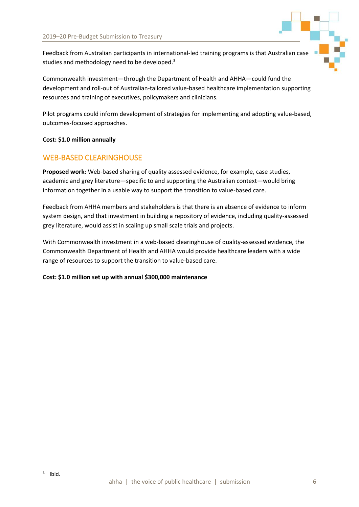

Feedback from Australian participants in international-led training programs is that Australian case studies and methodology need to be developed.<sup>3</sup>

Commonwealth investment—through the Department of Health and AHHA—could fund the development and roll-out of Australian-tailored value-based healthcare implementation supporting resources and training of executives, policymakers and clinicians.

Pilot programs could inform development of strategies for implementing and adopting value-based, outcomes-focused approaches.

#### **Cost: \$1.0 million annually**

### <span id="page-7-0"></span>WEB-BASED CLEARINGHOUSE

**Proposed work:** Web-based sharing of quality assessed evidence, for example, case studies, academic and grey literature—specific to and supporting the Australian context—would bring information together in a usable way to support the transition to value-based care.

Feedback from AHHA members and stakeholders is that there is an absence of evidence to inform system design, and that investment in building a repository of evidence, including quality-assessed grey literature, would assist in scaling up small scale trials and projects.

With Commonwealth investment in a web-based clearinghouse of quality-assessed evidence, the Commonwealth Department of Health and AHHA would provide healthcare leaders with a wide range of resources to support the transition to value-based care.

#### **Cost: \$1.0 million set up with annual \$300,000 maintenance**

 $\overline{\phantom{a}}$ 

 $3$  Ibid.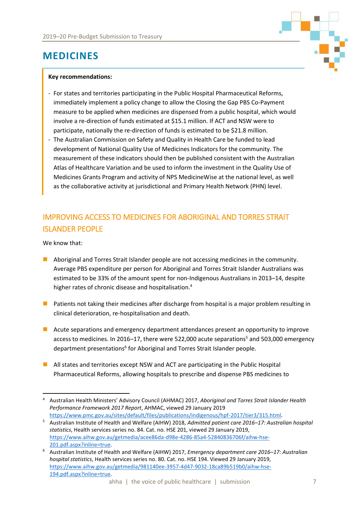<span id="page-8-0"></span>



#### **Key recommendations:**

- For states and territories participating in the Public Hospital Pharmaceutical Reforms, immediately implement a policy change to allow the Closing the Gap PBS Co-Payment measure to be applied when medicines are dispensed from a public hospital, which would involve a re-direction of funds estimated at \$15.1 million. If ACT and NSW were to participate, nationally the re-direction of funds is estimated to be \$21.8 million.
- The Australian Commission on Safety and Quality in Health Care be funded to lead development of National Quality Use of Medicines Indicators for the community. The measurement of these indicators should then be published consistent with the Australian Atlas of Healthcare Variation and be used to inform the investment in the Quality Use of Medicines Grants Program and activity of NPS MedicineWise at the national level, as well as the collaborative activity at jurisdictional and Primary Health Network (PHN) level.

# <span id="page-8-1"></span>IMPROVING ACCESS TO MEDICINES FOR ABORIGINAL AND TORRES STRAIT ISLANDER PEOPLE

We know that:

- Aboriginal and Torres Strait Islander people are not accessing medicines in the community. Average PBS expenditure per person for Aboriginal and Torres Strait Islander Australians was estimated to be 33% of the amount spent for non-Indigenous Australians in 2013–14, despite higher rates of chronic disease and hospitalisation.<sup>4</sup>
- Patients not taking their medicines after discharge from hospital is a major problem resulting in clinical deterioration, re-hospitalisation and death.
- Acute separations and emergency department attendances present an opportunity to improve access to medicines. In 2016–17, there were 522,000 acute separations<sup>5</sup> and 503,000 emergency department presentations<sup>6</sup> for Aboriginal and Torres Strait Islander people.
- All states and territories except NSW and ACT are participating in the Public Hospital Pharmaceutical Reforms, allowing hospitals to prescribe and dispense PBS medicines to

 $\overline{a}$ <sup>4</sup> Australian Health Ministers' Advisory Council (AHMAC) 2017, *Aboriginal and Torres Strait Islander Health Performance Framework 2017 Report*, AHMAC, viewed 29 January 2019 [https://www.pmc.gov.au/sites/default/files/publications/indigenous/hpf-2017/tier3/315.html.](https://www.pmc.gov.au/sites/default/files/publications/indigenous/hpf-2017/tier3/315.html)

<sup>5</sup> Australian Institute of Health and Welfare (AIHW) 2018, *Admitted patient care 2016–17: Australian hospital statistics*, Health services series no. 84. Cat. no. HSE 201, viewed 29 January 2019, [https://www.aihw.gov.au/getmedia/acee86da-d98e-4286-85a4-52840836706f/aihw-hse-](https://www.aihw.gov.au/getmedia/acee86da-d98e-4286-85a4-52840836706f/aihw-hse-201.pdf.aspx?inline=true)[201.pdf.aspx?inline=true.](https://www.aihw.gov.au/getmedia/acee86da-d98e-4286-85a4-52840836706f/aihw-hse-201.pdf.aspx?inline=true)

<sup>6</sup> Australian Institute of Health and Welfare (AIHW) 2017, *Emergency department care 2016–17: Australian hospital statistics*, Health services series no. 80. Cat. no. HSE 194. Viewed 29 January 2019, [https://www.aihw.gov.au/getmedia/981140ee-3957-4d47-9032-18ca89b519b0/aihw-hse-](https://www.aihw.gov.au/getmedia/981140ee-3957-4d47-9032-18ca89b519b0/aihw-hse-194.pdf.aspx?inline=true)[194.pdf.aspx?inline=true.](https://www.aihw.gov.au/getmedia/981140ee-3957-4d47-9032-18ca89b519b0/aihw-hse-194.pdf.aspx?inline=true)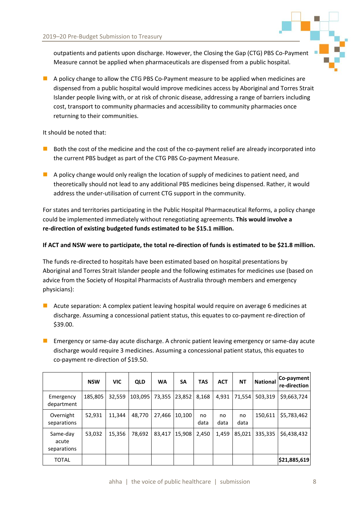

outpatients and patients upon discharge. However, the Closing the Gap (CTG) PBS Co-Payment Measure cannot be applied when pharmaceuticals are dispensed from a public hospital.

■ A policy change to allow the CTG PBS Co-Payment measure to be applied when medicines are dispensed from a public hospital would improve medicines access by Aboriginal and Torres Strait Islander people living with, or at risk of chronic disease, addressing a range of barriers including cost, transport to community pharmacies and accessibility to community pharmacies once returning to their communities.

#### It should be noted that:

- Both the cost of the medicine and the cost of the co-payment relief are already incorporated into the current PBS budget as part of the CTG PBS Co-payment Measure.
- $\blacksquare$  A policy change would only realign the location of supply of medicines to patient need, and theoretically should not lead to any additional PBS medicines being dispensed. Rather, it would address the under-utilisation of current CTG support in the community.

For states and territories participating in the Public Hospital Pharmaceutical Reforms, a policy change could be implemented immediately without renegotiating agreements. **This would involve a re-direction of existing budgeted funds estimated to be \$15.1 million.**

#### **If ACT and NSW were to participate, the total re-direction of funds is estimated to be \$21.8 million.**

The funds re-directed to hospitals have been estimated based on hospital presentations by Aboriginal and Torres Strait Islander people and the following estimates for medicines use (based on advice from the Society of Hospital Pharmacists of Australia through members and emergency physicians):

- Acute separation: A complex patient leaving hospital would require on average 6 medicines at discharge. Assuming a concessional patient status, this equates to co-payment re-direction of \$39.00.
- $\blacksquare$  Emergency or same-day acute discharge. A chronic patient leaving emergency or same-day acute discharge would require 3 medicines. Assuming a concessional patient status, this equates to co-payment re-direction of \$19.50.

|                                  | <b>NSW</b> | <b>VIC</b> | <b>QLD</b> | <b>WA</b> | <b>SA</b> | <b>TAS</b> | <b>ACT</b> | <b>NT</b>  | <b>National</b> | Co-payment<br>re-direction |
|----------------------------------|------------|------------|------------|-----------|-----------|------------|------------|------------|-----------------|----------------------------|
| Emergency<br>department          | 185,805    | 32,559     | 103,095    | 73,355    | 23,852    | 8,168      | 4,931      | 71,554     | 503,319         | \$9,663,724                |
| Overnight<br>separations         | 52,931     | 11,344     | 48.770     | 27,466    | 10.100    | no<br>data | no<br>data | no<br>data | 150,611         | \$5,783,462                |
| Same-day<br>acute<br>separations | 53,032     | 15,356     | 78.692     | 83.417    | 15,908    | 2,450      | 1,459      | 85,021     | 335,335         | \$6,438,432                |
| <b>TOTAL</b>                     |            |            |            |           |           |            |            |            |                 | \$21,885,619               |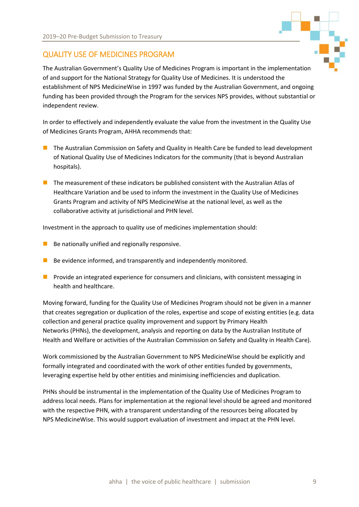

### <span id="page-10-0"></span>QUALITY USE OF MEDICINES PROGRAM

The Australian Government's Quality Use of Medicines Program is important in the implementation of and support for the National Strategy for Quality Use of Medicines. It is understood the establishment of NPS MedicineWise in 1997 was funded by the Australian Government, and ongoing funding has been provided through the Program for the services NPS provides, without substantial or independent review.

In order to effectively and independently evaluate the value from the investment in the Quality Use of Medicines Grants Program, AHHA recommends that:

- The Australian Commission on Safety and Quality in Health Care be funded to lead development of National Quality Use of Medicines Indicators for the community (that is beyond Australian hospitals).
- The measurement of these indicators be published consistent with the Australian Atlas of Healthcare Variation and be used to inform the investment in the Quality Use of Medicines Grants Program and activity of NPS MedicineWise at the national level, as well as the collaborative activity at jurisdictional and PHN level.

Investment in the approach to quality use of medicines implementation should:

- $\blacksquare$  Be nationally unified and regionally responsive.
- $\blacksquare$  Be evidence informed, and transparently and independently monitored.
- Provide an integrated experience for consumers and clinicians, with consistent messaging in health and healthcare.

Moving forward, funding for the Quality Use of Medicines Program should not be given in a manner that creates segregation or duplication of the roles, expertise and scope of existing entities (e.g. data collection and general practice quality improvement and support by Primary Health Networks (PHNs), the development, analysis and reporting on data by the Australian Institute of Health and Welfare or activities of the Australian Commission on Safety and Quality in Health Care).

Work commissioned by the Australian Government to NPS MedicineWise should be explicitly and formally integrated and coordinated with the work of other entities funded by governments, leveraging expertise held by other entities and minimising inefficiencies and duplication.

PHNs should be instrumental in the implementation of the Quality Use of Medicines Program to address local needs. Plans for implementation at the regional level should be agreed and monitored with the respective PHN, with a transparent understanding of the resources being allocated by NPS MedicineWise. This would support evaluation of investment and impact at the PHN level.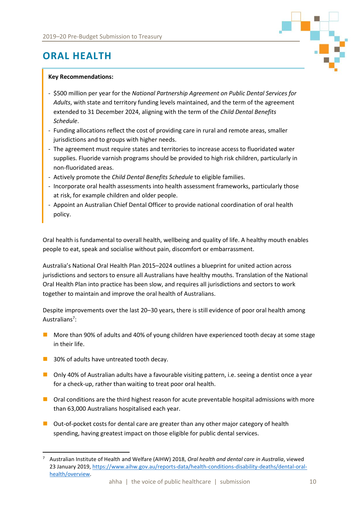<span id="page-11-0"></span>

#### **Key Recommendations:**

- \$500 million per year for the *National Partnership Agreement on Public Dental Services for Adults*, with state and territory funding levels maintained, and the term of the agreement extended to 31 December 2024, aligning with the term of the *Child Dental Benefits Schedule*.
- Funding allocations reflect the cost of providing care in rural and remote areas, smaller jurisdictions and to groups with higher needs.
- The agreement must require states and territories to increase access to fluoridated water supplies. Fluoride varnish programs should be provided to high risk children, particularly in non-fluoridated areas.
- Actively promote the *Child Dental Benefits Schedule* to eligible families.
- Incorporate oral health assessments into health assessment frameworks, particularly those at risk, for example children and older people.
- Appoint an Australian Chief Dental Officer to provide national coordination of oral health policy.

Oral health is fundamental to overall health, wellbeing and quality of life. A healthy mouth enables people to eat, speak and socialise without pain, discomfort or embarrassment.

Australia's National Oral Health Plan 2015–2024 outlines a blueprint for united action across jurisdictions and sectors to ensure all Australians have healthy mouths. Translation of the National Oral Health Plan into practice has been slow, and requires all jurisdictions and sectors to work together to maintain and improve the oral health of Australians.

Despite improvements over the last 20–30 years, there is still evidence of poor oral health among Australians<sup>7</sup>:

- More than 90% of adults and 40% of young children have experienced tooth decay at some stage in their life.
- 30% of adults have untreated tooth decay.

 $\overline{\phantom{a}}$ 

- Only 40% of Australian adults have a favourable visiting pattern, i.e. seeing a dentist once a year for a check-up, rather than waiting to treat poor oral health.
- Oral conditions are the third highest reason for acute preventable hospital admissions with more than 63,000 Australians hospitalised each year.
- Out-of-pocket costs for dental care are greater than any other major category of health spending, having greatest impact on those eligible for public dental services.

<sup>7</sup> Australian Institute of Health and Welfare (AIHW) 2018, *Oral health and dental care in Australia*, viewed 23 January 2019, [https://www.aihw.gov.au/reports-data/health-conditions-disability-deaths/dental-oral](https://www.aihw.gov.au/reports-data/health-conditions-disability-deaths/dental-oral-health/overview)[health/overview.](https://www.aihw.gov.au/reports-data/health-conditions-disability-deaths/dental-oral-health/overview)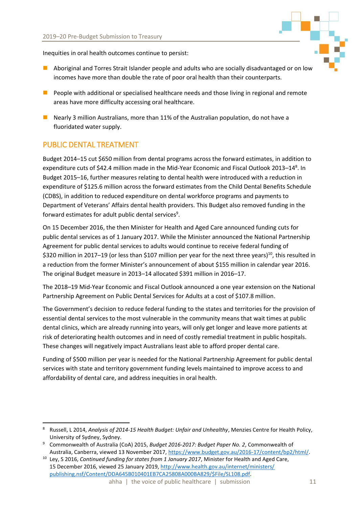Inequities in oral health outcomes continue to persist:

- Aboriginal and Torres Strait Islander people and adults who are socially disadvantaged or on low incomes have more than double the rate of poor oral health than their counterparts.
- People with additional or specialised healthcare needs and those living in regional and remote areas have more difficulty accessing oral healthcare.
- Nearly 3 million Australians, more than 11% of the Australian population, do not have a fluoridated water supply.

## <span id="page-12-0"></span>PUBLIC DENTAL TREATMENT

 $\overline{a}$ 

Budget 2014–15 cut \$650 million from dental programs across the forward estimates, in addition to expenditure cuts of \$42.4 million made in the Mid-Year Economic and Fiscal Outlook 2013–14<sup>8</sup>. In Budget 2015–16, further measures relating to dental health were introduced with a reduction in expenditure of \$125.6 million across the forward estimates from the Child Dental Benefits Schedule (CDBS), in addition to reduced expenditure on dental workforce programs and payments to Department of Veterans' Affairs dental health providers. This Budget also removed funding in the forward estimates for adult public dental services $^9$ .

On 15 December 2016, the then Minister for Health and Aged Care announced funding cuts for public dental services as of 1 January 2017. While the Minister announced the National Partnership Agreement for public dental services to adults would continue to receive federal funding of \$320 million in 2017–19 (or less than \$107 million per year for the next three years)<sup>10</sup>, this resulted in a reduction from the former Minister's announcement of about \$155 million in calendar year 2016. The original Budget measure in 2013–14 allocated \$391 million in 2016–17.

The 2018–19 Mid-Year Economic and Fiscal Outlook announced a one year extension on the National Partnership Agreement on Public Dental Services for Adults at a cost of \$107.8 million.

The Government's decision to reduce federal funding to the states and territories for the provision of essential dental services to the most vulnerable in the community means that wait times at public dental clinics, which are already running into years, will only get longer and leave more patients at risk of deteriorating health outcomes and in need of costly remedial treatment in public hospitals. These changes will negatively impact Australians least able to afford proper dental care.

Funding of \$500 million per year is needed for the National Partnership Agreement for public dental services with state and territory government funding levels maintained to improve access to and affordability of dental care, and address inequities in oral health.

<sup>8</sup> Russell, L 2014, *Analysis of 2014‐15 Health Budget: Unfair and Unhealthy*, Menzies Centre for Health Policy, University of Sydney, Sydney.

<sup>9</sup> Commonwealth of Australia (CoA) 2015, *Budget 2016-2017: Budget Paper No. 2*, Commonwealth of Australia, Canberra, viewed 13 November 2017, [https://www.budget.gov.au/2016-17/content/bp2/html/.](https://www.budget.gov.au/2016-17/content/bp2/html/)

<sup>10</sup> Ley, S 2016, *Continued funding for states from 1 January 2017*, Minister for Health and Aged Care, 15 December 2016, viewed 25 January 2019[, http://www.health.gov.au/internet/ministers/](http://www.health.gov.au/internet/ministers/publishing.nsf/Content/DDA645B010401EB7CA25808A000BA829/$File/SL108.pdf) [publishing.nsf/Content/DDA645B010401EB7CA25808A000BA829/\\$File/SL108.pdf.](http://www.health.gov.au/internet/ministers/publishing.nsf/Content/DDA645B010401EB7CA25808A000BA829/$File/SL108.pdf)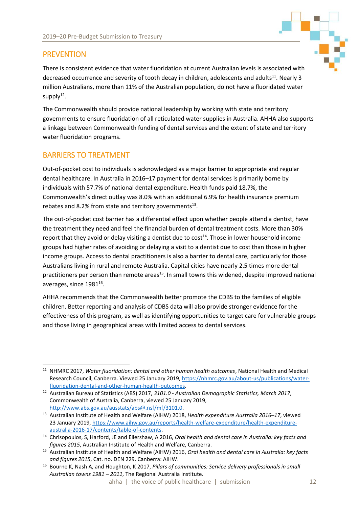

## <span id="page-13-0"></span>**PREVENTION**

There is consistent evidence that water fluoridation at current Australian levels is associated with decreased occurrence and severity of tooth decay in children, adolescents and adults<sup>11</sup>. Nearly 3 million Australians, more than 11% of the Australian population, do not have a fluoridated water  $supply<sup>12</sup>$ .

The Commonwealth should provide national leadership by working with state and territory governments to ensure fluoridation of all reticulated water supplies in Australia. AHHA also supports a linkage between Commonwealth funding of dental services and the extent of state and territory water fluoridation programs.

## <span id="page-13-1"></span>BARRIERS TO TREATMENT

Out-of-pocket cost to individuals is acknowledged as a major barrier to appropriate and regular dental healthcare. In Australia in 2016–17 payment for dental services is primarily borne by individuals with 57.7% of national dental expenditure. Health funds paid 18.7%, the Commonwealth's direct outlay was 8.0% with an additional 6.9% for health insurance premium rebates and 8.2% from state and territory governments $^{13}$ .

The out-of-pocket cost barrier has a differential effect upon whether people attend a dentist, have the treatment they need and feel the financial burden of dental treatment costs. More than 30% report that they avoid or delay visiting a dentist due to  $cost^{14}$ . Those in lower household income groups had higher rates of avoiding or delaying a visit to a dentist due to cost than those in higher income groups. Access to dental practitioners is also a barrier to dental care, particularly for those Australians living in rural and remote Australia. Capital cities have nearly 2.5 times more dental practitioners per person than remote areas<sup>15</sup>. In small towns this widened, despite improved national averages, since 1981 $^{16}$ .

AHHA recommends that the Commonwealth better promote the CDBS to the families of eligible children. Better reporting and analysis of CDBS data will also provide stronger evidence for the effectiveness of this program, as well as identifying opportunities to target care for vulnerable groups and those living in geographical areas with limited access to dental services.

 $\overline{a}$ <sup>11</sup> NHMRC 2017, *Water fluoridation: dental and other human health outcomes*, National Health and Medical Research Council, Canberra. Viewed 25 January 2019, [https://nhmrc.gov.au/about-us/publications/water](https://nhmrc.gov.au/about-us/publications/water-fluoridation-dental-and-other-human-health-outcomes)[fluoridation-dental-and-other-human-health-outcomes.](https://nhmrc.gov.au/about-us/publications/water-fluoridation-dental-and-other-human-health-outcomes)

<sup>12</sup> Australian Bureau of Statistics (ABS) 2017, *3101.0 - Australian Demographic Statistics, March 2017*, Commonwealth of Australia, Canberra, viewed 25 January 2019, [http://www.abs.gov.au/ausstats/abs@.nsf/mf/3101.0.](http://www.abs.gov.au/ausstats/abs@.nsf/mf/3101.0)

<sup>13</sup> Australian Institute of Health and Welfare (AIHW) 2018, *Health expenditure Australia 2016–17*, viewed 23 January 2019, [https://www.aihw.gov.au/reports/health-welfare-expenditure/health-expenditure](https://www.aihw.gov.au/reports/health-welfare-expenditure/health-expenditure-australia-2016-17/contents/table-of-contents)[australia-2016-17/contents/table-of-contents.](https://www.aihw.gov.au/reports/health-welfare-expenditure/health-expenditure-australia-2016-17/contents/table-of-contents)

<sup>14</sup> Chrisopoulos, S, Harford, JE and Ellershaw, A 2016, *Oral health and dental care in Australia: key facts and figures 2015*, Australian Institute of Health and Welfare, Canberra.

<sup>15</sup> Australian Institute of Health and Welfare (AIHW) 2016, *Oral health and dental care in Australia: key facts and figures 2015*, Cat. no. DEN 229. Canberra: AIHW.

<sup>16</sup> Bourne K, Nash A, and Houghton, K 2017, *Pillars of communities: Service delivery professionals in small Australian towns 1981 – 2011*, The Regional Australia Institute.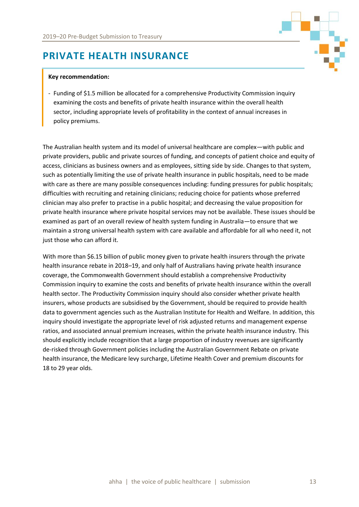# <span id="page-14-0"></span>**PRIVATE HEALTH INSURANCE**

#### **Key recommendation:**

- Funding of \$1.5 million be allocated for a comprehensive Productivity Commission inquiry examining the costs and benefits of private health insurance within the overall health sector, including appropriate levels of profitability in the context of annual increases in policy premiums.

The Australian health system and its model of universal healthcare are complex—with public and private providers, public and private sources of funding, and concepts of patient choice and equity of access, clinicians as business owners and as employees, sitting side by side. Changes to that system, such as potentially limiting the use of private health insurance in public hospitals, need to be made with care as there are many possible consequences including: funding pressures for public hospitals; difficulties with recruiting and retaining clinicians; reducing choice for patients whose preferred clinician may also prefer to practise in a public hospital; and decreasing the value proposition for private health insurance where private hospital services may not be available. These issues should be examined as part of an overall review of health system funding in Australia—to ensure that we maintain a strong universal health system with care available and affordable for all who need it, not just those who can afford it.

With more than \$6.15 billion of public money given to private health insurers through the private health insurance rebate in 2018–19, and only half of Australians having private health insurance coverage, the Commonwealth Government should establish a comprehensive Productivity Commission inquiry to examine the costs and benefits of private health insurance within the overall health sector. The Productivity Commission inquiry should also consider whether private health insurers, whose products are subsidised by the Government, should be required to provide health data to government agencies such as the Australian Institute for Health and Welfare. In addition, this inquiry should investigate the appropriate level of risk adjusted returns and management expense ratios, and associated annual premium increases, within the private health insurance industry. This should explicitly include recognition that a large proportion of industry revenues are significantly de-risked through Government policies including the Australian Government Rebate on private health insurance, the Medicare levy surcharge, Lifetime Health Cover and premium discounts for 18 to 29 year olds.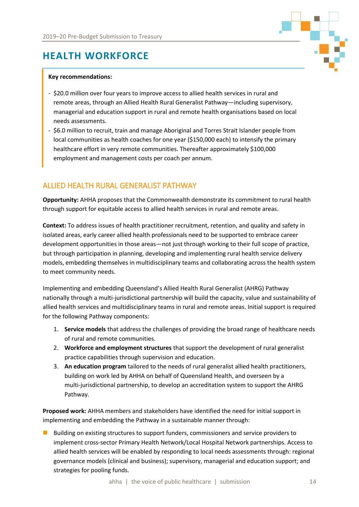

# <span id="page-15-0"></span>**HEALTH WORKFORCE**

#### **Key recommendations:**

- \$20.0 million over four years to improve access to allied health services in rural and remote areas, through an Allied Health Rural Generalist Pathway—including supervisory, managerial and education support in rural and remote health organisations based on local needs assessments.
- \$6.0 million to recruit, train and manage Aboriginal and Torres Strait Islander people from local communities as health coaches for one year (\$150,000 each) to intensify the primary healthcare effort in very remote communities. Thereafter approximately \$100,000 employment and management costs per coach per annum.

### <span id="page-15-1"></span>ALLIED HEALTH RURAL GENERALIST PATHWAY

**Opportunity:** AHHA proposes that the Commonwealth demonstrate its commitment to rural health through support for equitable access to allied health services in rural and remote areas.

**Context:** To address issues of health practitioner recruitment, retention, and quality and safety in isolated areas, early career allied health professionals need to be supported to embrace career development opportunities in those areas—not just through working to their full scope of practice, but through participation in planning, developing and implementing rural health service delivery models, embedding themselves in multidisciplinary teams and collaborating across the health system to meet community needs.

Implementing and embedding Queensland's Allied Health Rural Generalist (AHRG) Pathway nationally through a multi-jurisdictional partnership will build the capacity, value and sustainability of allied health services and multidisciplinary teams in rural and remote areas. Initial support is required for the following Pathway components:

- 1. **Service models** that address the challenges of providing the broad range of healthcare needs of rural and remote communities.
- 2. **Workforce and employment structures** that support the development of rural generalist practice capabilities through supervision and education.
- 3. **An education program** tailored to the needs of rural generalist allied health practitioners, building on work led by AHHA on behalf of Queensland Health, and overseen by a multi-jurisdictional partnership, to develop an accreditation system to support the AHRG Pathway.

**Proposed work:** AHHA members and stakeholders have identified the need for initial support in implementing and embedding the Pathway in a sustainable manner through:

■ Building on existing structures to support funders, commissioners and service providers to implement cross-sector Primary Health Network/Local Hospital Network partnerships. Access to allied health services will be enabled by responding to local needs assessments through: regional governance models (clinical and business); supervisory, managerial and education support; and strategies for pooling funds.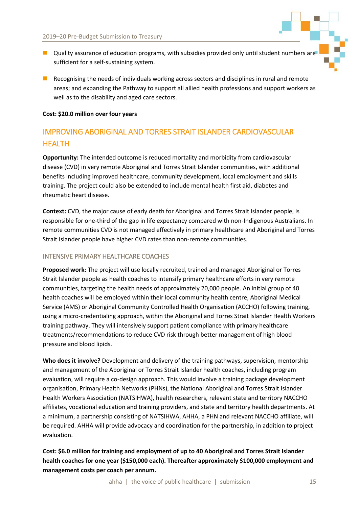- Quality assurance of education programs, with subsidies provided only until student numbers are sufficient for a self-sustaining system.
- Recognising the needs of individuals working across sectors and disciplines in rural and remote areas; and expanding the Pathway to support all allied health professions and support workers as well as to the disability and aged care sectors.

#### **Cost: \$20.0 million over four years**

# <span id="page-16-0"></span>IMPROVING ABORIGINAL AND TORRES STRAIT ISLANDER CARDIOVASCULAR HEALTH

**Opportunity:** The intended outcome is reduced mortality and morbidity from cardiovascular disease (CVD) in very remote Aboriginal and Torres Strait Islander communities, with additional benefits including improved healthcare, community development, local employment and skills training. The project could also be extended to include mental health first aid, diabetes and rheumatic heart disease.

**Context:** CVD, the major cause of early death for Aboriginal and Torres Strait Islander people, is responsible for one-third of the gap in life expectancy compared with non-Indigenous Australians. In remote communities CVD is not managed effectively in primary healthcare and Aboriginal and Torres Strait Islander people have higher CVD rates than non-remote communities.

#### <span id="page-16-1"></span>INTENSIVE PRIMARY HEALTHCARE COACHES

**Proposed work:** The project will use locally recruited, trained and managed Aboriginal or Torres Strait Islander people as health coaches to intensify primary healthcare efforts in very remote communities, targeting the health needs of approximately 20,000 people. An initial group of 40 health coaches will be employed within their local community health centre, Aboriginal Medical Service (AMS) or Aboriginal Community Controlled Health Organisation (ACCHO) following training, using a micro-credentialing approach, within the Aboriginal and Torres Strait Islander Health Workers training pathway. They will intensively support patient compliance with primary healthcare treatments/recommendations to reduce CVD risk through better management of high blood pressure and blood lipids.

**Who does it involve?** Development and delivery of the training pathways, supervision, mentorship and management of the Aboriginal or Torres Strait Islander health coaches, including program evaluation, will require a co-design approach. This would involve a training package development organisation, Primary Health Networks (PHNs), the National Aboriginal and Torres Strait Islander Health Workers Association (NATSIHWA), health researchers, relevant state and territory NACCHO affiliates, vocational education and training providers, and state and territory health departments. At a minimum, a partnership consisting of NATSIHWA, AHHA, a PHN and relevant NACCHO affiliate, will be required. AHHA will provide advocacy and coordination for the partnership, in addition to project evaluation.

### **Cost: \$6.0 million for training and employment of up to 40 Aboriginal and Torres Strait Islander health coaches for one year (\$150,000 each). Thereafter approximately \$100,000 employment and management costs per coach per annum.**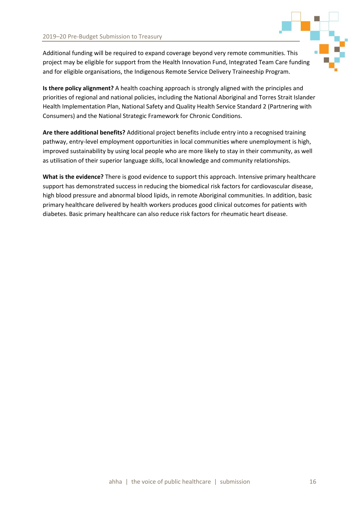

Additional funding will be required to expand coverage beyond very remote communities. This project may be eligible for support from the Health Innovation Fund, Integrated Team Care funding and for eligible organisations, the Indigenous Remote Service Delivery Traineeship Program.

**Is there policy alignment?** A health coaching approach is strongly aligned with the principles and priorities of regional and national policies, including the National Aboriginal and Torres Strait Islander Health Implementation Plan, National Safety and Quality Health Service Standard 2 (Partnering with Consumers) and the National Strategic Framework for Chronic Conditions.

**Are there additional benefits?** Additional project benefits include entry into a recognised training pathway, entry-level employment opportunities in local communities where unemployment is high, improved sustainability by using local people who are more likely to stay in their community, as well as utilisation of their superior language skills, local knowledge and community relationships.

**What is the evidence?** There is good evidence to support this approach. Intensive primary healthcare support has demonstrated success in reducing the biomedical risk factors for cardiovascular disease, high blood pressure and abnormal blood lipids, in remote Aboriginal communities. In addition, basic primary healthcare delivered by health workers produces good clinical outcomes for patients with diabetes. Basic primary healthcare can also reduce risk factors for rheumatic heart disease.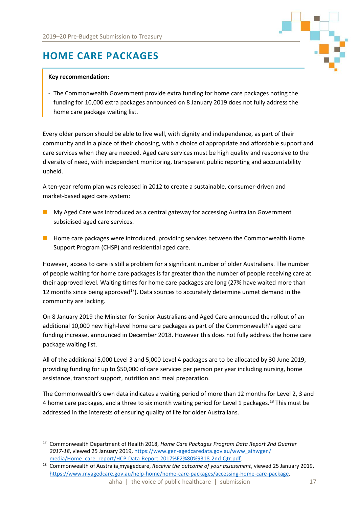

# <span id="page-18-0"></span>**HOME CARE PACKAGES**

#### **Key recommendation:**

 $\overline{a}$ 

- The Commonwealth Government provide extra funding for home care packages noting the funding for 10,000 extra packages announced on 8 January 2019 does not fully address the home care package waiting list.

Every older person should be able to live well, with dignity and independence, as part of their community and in a place of their choosing, with a choice of appropriate and affordable support and care services when they are needed. Aged care services must be high quality and responsive to the diversity of need, with independent monitoring, transparent public reporting and accountability upheld.

A ten-year reform plan was released in 2012 to create a sustainable, consumer-driven and market-based aged care system:

- My Aged Care was introduced as a central gateway for accessing Australian Government subsidised aged care services.
- Home care packages were introduced, providing services between the Commonwealth Home Support Program (CHSP) and residential aged care.

However, access to care is still a problem for a significant number of older Australians. The number of people waiting for home care packages is far greater than the number of people receiving care at their approved level. Waiting times for home care packages are long (27% have waited more than 12 months since being approved<sup>17</sup>). Data sources to accurately determine unmet demand in the community are lacking.

On 8 January 2019 the Minister for Senior Australians and Aged Care announced the rollout of an additional 10,000 new high-level home care packages as part of the Commonwealth's aged care funding increase, announced in December 2018. However this does not fully address the home care package waiting list.

All of the additional 5,000 Level 3 and 5,000 Level 4 packages are to be allocated by 30 June 2019, providing funding for up to \$50,000 of care services per person per year including nursing, home assistance, transport support, nutrition and meal preparation.

The Commonwealth's own data indicates a waiting period of more than 12 months for Level 2, 3 and 4 home care packages, and a three to six month waiting period for Level 1 packages.<sup>18</sup> This must be addressed in the interests of ensuring quality of life for older Australians.

<sup>17</sup> Commonwealth Department of Health 2018, *Home Care Packages Program Data Report 2nd Quarter 2017-18*, viewed 25 January 2019, [https://www.gen-agedcaredata.gov.au/www\\_aihwgen/](https://www.gen-agedcaredata.gov.au/www_aihwgen/media/Home_care_report/HCP-Data-Report-2017%E2%80%9318-2nd-Qtr.pdf) [media/Home\\_care\\_report/HCP-Data-Report-2017%E2%80%9318-2nd-Qtr.pdf.](https://www.gen-agedcaredata.gov.au/www_aihwgen/media/Home_care_report/HCP-Data-Report-2017%E2%80%9318-2nd-Qtr.pdf)

<sup>18</sup> Commonwealth of Australia myagedcare, *Receive the outcome of your assessment*, viewed 25 January 2019, <https://www.myagedcare.gov.au/help-home/home-care-packages/accessing-home-care-package>.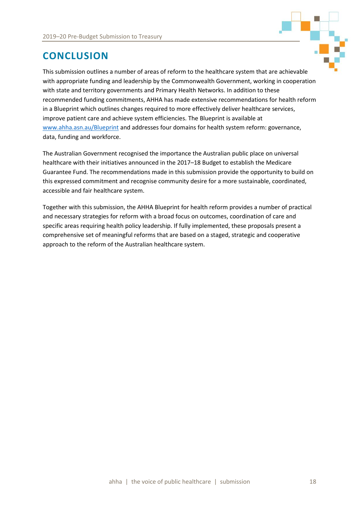

# <span id="page-19-0"></span>**CONCLUSION**

This submission outlines a number of areas of reform to the healthcare system that are achievable with appropriate funding and leadership by the Commonwealth Government, working in cooperation with state and territory governments and Primary Health Networks. In addition to these recommended funding commitments, AHHA has made extensive recommendations for health reform in a Blueprint which outlines changes required to more effectively deliver healthcare services, improve patient care and achieve system efficiencies. The Blueprint is available at [www.ahha.asn.au/Blueprint](http://www.ahha.asn.au/Blueprint) and addresses four domains for health system reform: governance, data, funding and workforce.

The Australian Government recognised the importance the Australian public place on universal healthcare with their initiatives announced in the 2017–18 Budget to establish the Medicare Guarantee Fund. The recommendations made in this submission provide the opportunity to build on this expressed commitment and recognise community desire for a more sustainable, coordinated, accessible and fair healthcare system.

Together with this submission, the AHHA Blueprint for health reform provides a number of practical and necessary strategies for reform with a broad focus on outcomes, coordination of care and specific areas requiring health policy leadership. If fully implemented, these proposals present a comprehensive set of meaningful reforms that are based on a staged, strategic and cooperative approach to the reform of the Australian healthcare system.